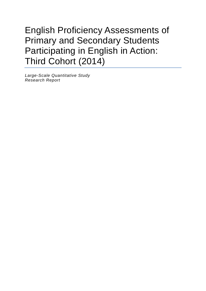



English Proficiency Assessments of **Primary and Secondary Students Participating in English in Action:** Third Cohort (2014) Large-Scale Quantitative **Study** 

**Proficiency** Proficiency

Research Report

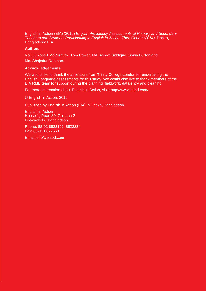English in Action (EIA) (2015) *English Proficiency Assessments of Primary and Secondary Teachers and Students Participating in English in Action: Third Cohort (2014)*. Dhaka, Bangladesh: EIA.

#### **Authors**

Nai Li, Robert McCormick, Tom Power, Md. Ashraf Siddique, Sonia Burton and Md. Shajedur Rahman.

#### **Acknowledgements**

We would like to thank the assessors from Trinity College London for undertaking the English Language assessments for this study. We would also like to thank members of the EIA RME team for support during the planning, fieldwork, data entry and cleaning.

For more information about English in Action, visit:<http://www.eiabd.com/>

© English in Action, 2015

Published by English in Action (EIA) in Dhaka, Bangladesh.

English in Action House 1, Road 80, Gulshan 2 Dhaka-1212, Bangladesh.

Phone: 88-02 8822161, 8822234 Fax: 88-02 8822663

Email: info@eiabd.com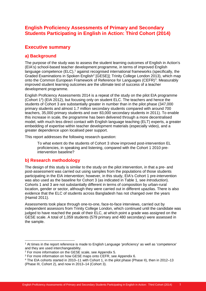## **English Proficiency Assessments of Primary and Secondary Students Participating in English in Action: Third Cohort (2014)**

## **Executive summary**

## **a) Background**

The purpose of the study was to assess the student learning outcomes of English in Action's (EIA's) school-based teacher development programme, in terms of improved English language competence (ELC),<sup>[1](#page-2-0)</sup> against recognised international frameworks (specifically, the Graded Examinations in Spoken English<sup>2</sup> [GESE]]; Trinity College London 2013), which map onto the Common European Framework of Reference for Languages (CEFR)<sup>[3](#page-2-2)</sup>. Measurably improved student learning outcomes are the ultimate test of success of a teacher development programme.

English Proficiency Assessments 2014 is a repeat of the study on the pilot EIA programme (Cohort 1<sup>[4](#page-2-3)</sup>) (EIA 2012), but focusing only on student ELC. The teachers and hence the students of Cohort 3 are substantially greater in number than in the pilot phase (347,000 primary students and almost 1.7 million secondary students compared with around 700 teachers, 35,000 primary students and over 83,000 secondary students in 2011). To enable this increase in scale, the programme has been delivered through a more decentralised model, with much less direct contact with English language teaching (ELT) experts, a greater embedding of expertise within teacher development materials (especially video), and a greater dependence upon localised peer support.

This report addresses the following research question:

To what extent do the students of Cohort 3 show improved post-intervention EL proficiencies, in speaking and listening, compared with the Cohort 1 2010 preintervention baseline?

#### **b) Research methodology**

The design of this study is similar to the study on the pilot intervention, in that a pre- and post-assessment was carried out using samples from the populations of those students participating in the EIA intervention; however, in this study, EIA's Cohort 1 pre-intervention was also used as the baseline for Cohort 3 (as indicated in Table 1, see *Introduction*). Cohorts 1 and 3 are not substantially different in terms of composition by urban-rural location, gender or sector, although they were carried out in different upazilas. There is also evidence that the ELC of students across Bangladesh has not changed over the years (Hamid 2011).

Assessments took place through one-to-one, face-to-face interviews, carried out by independent assessors from Trinity College London, which continued until the candidate was judged to have reached the peak of their ELC, at which point a grade was assigned on the GESE scale. A total of 1,059 students (579 primary and 480 secondary) were assessed in the sample.

<span id="page-2-0"></span> <sup>1</sup> At times in the report reference is made to English Language 'proficiency' as well as 'competence' and they are used interchangeability.

<span id="page-2-1"></span><sup>2</sup> For more information on the GESE scale, see Appendix 5.

<span id="page-2-2"></span><sup>3</sup> For more information on how GESE maps onto CEFR, see Appendix 6.

<span id="page-2-3"></span><sup>4</sup> The EIA cohorts started in 2010–11 with Cohort 1, in the pilot phase (Phase II), then in 2012–13 (Phase III, Cohort 2), and now in 2013–14 (Cohort 3).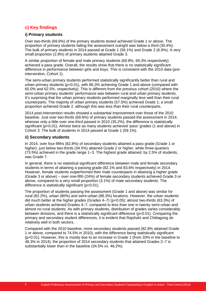## **c) Key findings**

#### **i) Primary students**

Over two-thirds (69.6%) of the primary students tested achieved Grade 1 or above. The proportion of primary students failing the assessment outright was below a third (30.4%). The bulk of primary students in 2014 passed at Grade 1 (59.1%) and Grade 2 (6.9%). A very small proportion (2.8%) of primary students attained Grade 3.

A similar proportion of female and male primary students (69.8%, 69.3% respectively) achieved a pass grade. Overall, the results show that there is no statistically significant difference in performance between girls and boys. This is consistent with the 2010 data (preintervention, Cohort 1).

The semi-urban primary students performed statistically significantly better than rural and urban primary students (p<0.01), with 86.3% achieving Grade 1 and above (compared with 65.0% and 62.5%. respectively). This is different from the previous cohort (2010) where the semi-urban primary students' performance was between rural and urban primary students. It's surprising that the urban primary students performed marginally less well than their rural counterparts. The majority of urban primary students (57.5%) achieved Grade 1; a small proportion achieved Grade 2, although this was less than their rural counterparts.

2014 post-intervention results showed a substantial improvement over those of the 2010 baseline. Just over two-thirds (69.6%) of primary students passed the assessment in 2014, whereas only a little over one-third passed in 2010 (35.2%); the difference is statistically significant (p<0.01). Almost twice as many students achieved 'pass' grades (1 and above) in Cohort 3. The bulk of students in 2014 passed at Grade 1 (59.1%).

#### **ii) Secondary students**

In 2014, over four-fifths (82.8%) of secondary students attained a pass grade (Grade 1 or higher), just below two-thirds (34.5%) attained Grade 2 or higher, while three-quarters (73.5%) achieved in the grade range 1–3. The highest grade attained, by 2.5% of students, was Grade 7.

In general, there is no statistical significant difference between male and female secondary students in terms of attaining a passing grade (82.1% and 83.6% respectively) in 2014. However, female students outperformed their male counterparts in attaining a higher grade (Grade 3 or above) – over one-fifth (24%) of female secondary students achieved Grade 3 or above, compared to a very small proportion (3.1%) of male secondary students. The difference is statistically significant (p<0.01).

The proportion of students passing the assessment (Grade 1 and above) was similar for rural (82.2%), urban (80%) and semi-urban (88.3%) locations. However, the urban students did much better at the higher grades (Grades 4–7) (p<0.05); almost two-thirds (63.3%) of urban students achieved Grades 4–7, compared to less than one in twenty semi-urban and almost no rural students. As with primary students, distribution of grades varies considerably between divisions, and there is a statistically significant difference (p<0.01). Comparing the primary and secondary student differences, it is evident that Rajshahi and Chittagong do relatively well in both sectors.

Compared with the 2010 baseline, more secondary students passed (82.8% attained Grade 1 or above, compared to 74.5% in 2010), with the difference being statistically significant (p<0.01). However, this is mostly due to an increase in Grade 1 (from 33% in the baseline to 48.3% in 2014); the proportion of 2014 secondary students that attained Grades 2–7 is substantially lower than in the baseline (34.5% *vs.* 46.2%).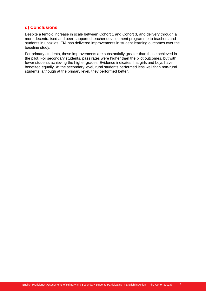## **d) Conclusions**

Despite a tenfold increase in scale between Cohort 1 and Cohort 3, and delivery through a more decentralised and peer-supported teacher development programme to teachers and students in upazilas, EIA has delivered improvements in student learning outcomes over the baseline study.

For primary students, these improvements are substantially greater than those achieved in the pilot. For secondary students, pass rates were higher than the pilot outcomes, but with fewer students achieving the higher grades. Evidence indicates that girls and boys have benefited equally. At the secondary level, rural students performed less well than non-rural students, although at the primary level, they performed better.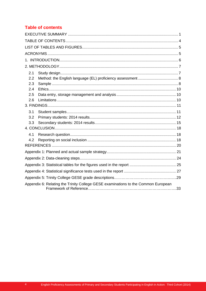## **Table of contents**

| 2.1                                                                               |  |
|-----------------------------------------------------------------------------------|--|
| 2.2                                                                               |  |
| 2.3                                                                               |  |
| 2.4                                                                               |  |
| 2.5                                                                               |  |
| 2.6                                                                               |  |
|                                                                                   |  |
| 3.1                                                                               |  |
| 3.2                                                                               |  |
| 3.3                                                                               |  |
|                                                                                   |  |
| 4.1                                                                               |  |
| 4.2                                                                               |  |
|                                                                                   |  |
|                                                                                   |  |
|                                                                                   |  |
|                                                                                   |  |
|                                                                                   |  |
|                                                                                   |  |
| Appendix 6: Relating the Trinity College GESE examinations to the Common European |  |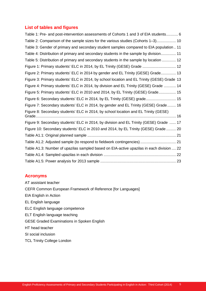#### **List of tables and figures**

| Table 1: Pre- and post-intervention assessments of Cohorts 1 and 3 of EIA students 6       |
|--------------------------------------------------------------------------------------------|
| Table 2: Comparison of the sample sizes for the various studies (Cohorts 1-3) 10           |
| Table 3: Gender of primary and secondary student samples compared to EIA population 11     |
| Table 4: Distribution of primary and secondary students in the sample by division 11       |
| Table 5: Distribution of primary and secondary students in the sample by location  12      |
| Figure 1: Primary students' ELC in 2014, by EL Trinity (GESE) Grade  12                    |
| Figure 2: Primary students' ELC in 2014 by gender and EL Trinity (GESE) Grade 13           |
| Figure 3: Primary students' ELC in 2014, by school location and EL Trinity (GESE) Grade 13 |
| Figure 4: Primary students' ELC in 2014, by division and EL Trinity (GESE) Grade  14       |
| Figure 5: Primary students' ELC in 2010 and 2014, by EL Trinity (GESE) Grade 15            |
| Figure 6: Secondary students' ELC in 2014, by EL Trinity (GESE) grade 15                   |
| Figure 7: Secondary students' ELC in 2014, by gender and EL Trinity (GESE) Grade 16        |
| Figure 8: Secondary students' ELC in 2014, by school location and EL Trinity (GESE)        |
| Figure 9: Secondary students' ELC in 2014, by division and EL Trinity (GESE) Grade  17     |
| Figure 10: Secondary students' ELC in 2010 and 2014, by EL Trinity (GESE) Grade  20        |
|                                                                                            |
| Table A1.2: Adjusted sample (to respond to fieldwork contingencies)  21                    |
| Table A1.3: Number of upazilas sampled based on EIA-active upazilas in each division  22   |
|                                                                                            |
|                                                                                            |

#### **Acronyms**

AT assistant teacher CEFR Common European Framework of Reference [for Languages] EIA English in Action EL English language ELC English language competence ELT English language teaching GESE Graded Examinations in Spoken English HT head teacher SI social inclusion TCL Trinity College London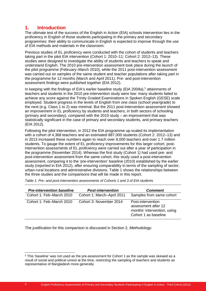## **1. Introduction**

The ultimate test of the success of the English in Action (EIA) schools intervention lies in the proficiency in English of those students participating in the primary and secondary programmes: their ability to communicate in English is expected to improve through the use of EIA methods and materials in the classroom.

Previous studies of EL proficiency were conducted with the cohort of students and teachers taking part in the pilot EIA intervention (Cohort 1: 2010–11; Cohort 2: 2012–13). These studies were designed to investigate the ability of students and teachers to speak and understand English. The 2010 pre-intervention assessment took place during the launch of the pilot programme (February–March 2010), while the 2011 post-intervention assessment was carried out on samples of the same student and teacher populations after taking part in the programme for 12 months (March and April 2011). Pre- and post-intervention assessment findings were published together (EIA 2012).

In keeping with the findings of EIA's earlier baseline study (EIA 2009a),<sup>[5](#page-7-0)</sup> attainments of teachers and students in the 2010 pre-intervention study were low: many students failed to achieve any score against the Trinity Graded Examinations in Spoken English (GESE) scale employed. Student progress in the levels of English from one class (school year/grade) to the next (e.g. Class 1 to 2) was minimal. But the 2011 post-intervention assessment showed an improvement in EL proficiency by students and teachers, in both sectors of schooling (primary and secondary), compared with the 2010 study – an improvement that was statistically significant in the case of primary and secondary students, and primary teachers (EIA 2012).

Following the pilot intervention, in 2012 the EIA programme up-scaled its implementation with a cohort of 4,368 teachers and an estimated 887,000 students (Cohort 2: 2012–13) and in 2013 increased these numbers again to reach over 8,000 teachers and over 1.7 million students. To gauge the extent of EL proficiency improvements for this larger cohort, postintervention assessments of EL proficiency were carried out after a year of participation in the programme (November 2014). Whereas the first study (Cohort 1) had used pre- and post-intervention assessment from the same cohort, this study used a post-intervention assessment, comparing it to the 'pre-intervention' baseline (2010) established by the earlier study (reported in EIA 2012), after ensuring comparability in terms of the sampling of sector, urban-rural locations and administrative divisions. Table 1 shows the relationships between the three studies and the comparisons that will be made in this report.

| <b>Pre-intervention baseline</b> | <b>Post-intervention</b>   | <b>Comment</b>                                                                                  |
|----------------------------------|----------------------------|-------------------------------------------------------------------------------------------------|
| Cohort 1: Feb-March 2010         | Cohort 1: March-April 2011 | Samples from same cohort                                                                        |
| Cohort 1: Feb-March 2010         | Cohort 3: November 2014    | Post-intervention<br>assessment after 12<br>months' intervention, using<br>Cohort 1 as baseline |

*Table 1: Pre- and post-intervention assessments of Cohorts 1 and 3 of EIA students*

The justification for this comparison is discussed in Section 2, *Methodology*.

<span id="page-7-0"></span> <sup>5</sup> This 'baseline' was not used as the pre-assessment for Cohort 1 as the sample was skewed as a result of social and political unrest at the time, restricting the sampling of teachers and students as representative of Bangladesh more generally.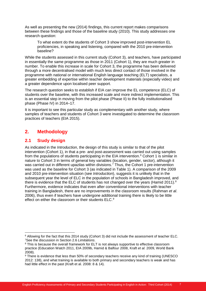As well as presenting the new (2014) findings, this current report makes comparisons between these findings and those of the baseline study (2010). This study addresses one research question:

To what extent do the students of Cohort 3 show improved post-intervention EL proficiencies, in speaking and listening, compared with the 2010 pre-intervention baseline?

While the students assessed in this current study (Cohort 3), and teachers, have participated in essentially the same programme as those in 2011 (Cohort 1), they are much greater in number. To enable this increase in scale for Cohort 3, the programme has been delivered through a more decentralised model with much less direct contact of those involved in the programme with national or international English language teaching (ELT) specialists, a greater embedding of expertise within teacher development materials (especially video) and a greater dependence upon localised peer support.

The research question seeks to establish if EIA can improve the EL competence (ELC) of students over the baseline, with this increased scale and more indirect implementation. This is an essential step in moving from the pilot phase (Phase II) to the fully institutionalised phase (Phase IV) in 2014–17.

It is important to see this particular study as complementary with another study, where samples of teachers and students of Cohort 3 were investigated to determine the classroom practices of teachers (EIA 2015).

## **2. Methodology**

#### **2.1 S**t**udy design**

As indicated in the *Introduction*, the design of this study is similar to that of the pilot intervention (Cohort 1), in that a pre- and post-assessment was carried out using samples from the populations of students participating in the EIA intervention.<sup>[6](#page-8-0)</sup> Cohort 1 is similar in nature to Cohort 3 in terms of general key variables (location, gender, sector), although it was carried out in different upazilas within divisions.<sup>[7](#page-8-1)</sup> Thus, the Cohort 1 pre-intervention was used as the baseline for Cohort 3 (as indicated in Table 1). A comparison of the 2009 and 2010 pre-intervention situation (see *Introduction*), suggests it is unlikely that in the subsequent year the level of ELC in the population of schools in Bangladesh improved, and there is evidence that the ELC of students has not changed over the years (Hamid 2011).<sup>[8](#page-8-2)</sup> Furthermore, evidence indicates that even after conventional interventions with teacher training in Bangladesh, there are no improvements in the classroom results (Rahman *et al*. 2006), thus even if teachers have undergone additional training there is likely to be little effect on either the classroom or their students ELC.<sup>[9](#page-8-3)</sup>

<span id="page-8-0"></span> $6$  Allowing for the fact that this 2014 study (Cohort 3) did not include the assessment of teacher ELC.<br>7See the discussion in Section 2.6 Limitations.

<span id="page-8-2"></span><span id="page-8-1"></span><sup>&</sup>lt;sup>8</sup> This is because the overall framework for ELT is not always supportive to effective classroom practice (Education Watch 2011, EIA 2009b, Hamid & Balfour 2008, Kraft *et al.* 2009, World Bank 2008).

<span id="page-8-3"></span><sup>9</sup> There is evidence that less than 50% of secondary teachers receive any kind of training (UNESCO 2012: 138), and what training is available to both primary and secondary teachers is weak and has had little effect in the past (Kraft et al. 2008: 8 & 14).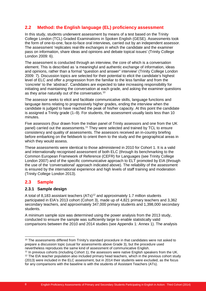## **2.2 Method: the English language (EL) proficiency assessment**

In this study, students underwent assessment by means of a test based on the Trinity College London (TCL) Graded Examinations in Spoken English (GESE). Assessments took the form of one-to-one, face-to-face oral interviews, carried out by an independent assessor. The assessment 'replicates real-life exchanges in which the candidate and the examiner pass on information, share ideas and opinions and debate topical issues' (Trinity College London 2009: 6).

The assessment is conducted through an interview, the core of which is a conversation element. This is described as 'a meaningful and authentic exchange of information, ideas and opinions, rather than a formal "question and answer" interview' (Trinity College London 2009: 7). Discussion topics are selected for their potential to elicit the candidate's highest level of ELC and offer a progression from the familiar to the less familiar and from the 'concrete' to the 'abstract'. Candidates are expected to take increasing responsibility for initiating and maintaining the conversation at each grade, and asking the examiner questions as they arise naturally out of the conversation.<sup>[10](#page-9-0)</sup>

The assessor seeks to elicit and facilitate communicative skills, language functions and language items relating to progressively higher grades, ending the interview when the candidate is judged to have reached the peak of his/her capacity. At this point the candidate is assigned a Trinity grade (1–9). For students, the assessment usually lasts less than 10 minutes.

Five assessors (four drawn from the Indian panel of Trinity assessors and one from the UK panel) carried out the assessments.<sup>[11](#page-9-1)</sup> They were selected and trained by TCL to ensure consistency and quality of assessments. The assessors received an in-country briefing before embarking on the fieldwork to orient them to the study and the geographical areas in which they would assess.

These assessments were identical to those administered in 2010 for Cohort 1. It is a valid and internationally recognised assessment of both ELC (through its benchmarking to the Common European Framework of Reference (CEFR) for Languages (see Trinity College London 2007) and of the specific communicative approach to ELT promoted by EIA (through the use of the 'conversational' approach indicated above). The reliability of the assessment is ensured by the international experience and high levels of staff training and moderation (Trinity College London 2013).

#### **2.3 Sample**

#### **2.3.1 Sample design**

A total of 8.183 assistant teachers (ATs)<sup>[12](#page-9-2)</sup> and approximately 1.7 million students participated in EIA's 2013 cohort (Cohort 3), made up of 4,821 primary teachers and 3,362 secondary teachers, and approximately 347,000 primary students and 1,398,000 secondary students.

A minimum sample size was determined using the power analysis from the 2013 study, conducted to ensure the sample was sufficiently large to enable statistically valid comparisons between the 2010 and 2014 studies (see Appendix 1: Annex 1). The analysis

<span id="page-9-0"></span><sup>&</sup>lt;sup>10</sup> The assessments differed from Trinity's standard procedure in that candidates were not asked to prepare a discussion topic (usual for assessments above Grade 3), but the procedure used nevertheless reproduces the same kind of assessment of communicative English.

<span id="page-9-2"></span><span id="page-9-1"></span><sup>11</sup> In previous cohorts (including Cohort 1), the assessors were native English speakers from the UK. <sup>12</sup> The EIA teacher population also included primary head teachers, which in the previous cohort study (2013) were included in the ELC assessment, but in 2014 their students were excluded, as the focus for any comparisons with the baseline is with the students of Assistant Teachers (ATs).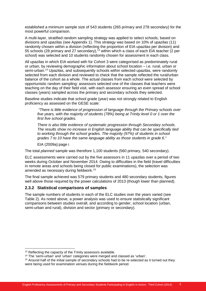established a minimum sample size of 543 students (265 primary and 278 secondary) for the most powerful comparison.

A multi-layer, stratified random sampling strategy was applied to select schools, based on divisions and upazilas (see Appendix 1). This strategy was based on 10% of upazilas (11) randomly chosen within a division (reflecting the proportion of EIA upazilas per division) and 55 schools (28 primary and 27 secondary), [13](#page-10-0) within which a class of each EIA teacher (2 per school) was selected and 10 students randomly chosen for assessment in each class.

All upazilas in which EIA worked with for Cohort 3 were categorised as predominately rural or urban, by reviewing demographic information about school location – i.e. rural, urban or semi-urban. [14](#page-10-1) Upazilas, and subsequently schools within selected upazilas, were randomly selected from each division and reviewed to check that the sample reflected the rural/urban balance of the cohort as a whole. The actual classes from each school were selected by opportunistic random sampling: assessors selected one of the classes that teachers were teaching on the day of their field visit, with each assessor ensuring an even spread of school classes (years) sampled across the primary and secondary schools they selected.

Baseline studies indicate that school grade (year) was not strongly related to English proficiency as assessed on the GESE scale:

*"There is little evidence of progression of language through the Primary schools over five years, with the majority of students (78%) being at Trinity level 0 or 1 over the first five school grades.* 

*There is also little evidence of systematic progression through Secondary schools. The results show no increase in English language ability that can be specifically tied to working through the school grades. The majority (97%) of students in school grades 7 to 10 have the same language ability as those students in grade 6."*

EIA (2009a):page i

The total *planned* sample was therefore 1,100 students (560 primary, 540 secondary).

ELC assessments were carried out by the five assessors in 11 upazilas over a period of two weeks during October and November 2014. Owing to difficulties in the field (travel difficulties in remote areas and schools being closed for public examinations), the selection was amended as necessary during fieldwork.[15](#page-10-2)

The final sample achieved was 579 primary students and 480 secondary students, figures well above those required by the power calculations of 2013 (though lower than planned).

#### **2.3.2 Statistical comparisons of samples**

The sample numbers of students in each of the ELC studies over the years varied (see Table 2). As noted above, a power analysis was used to ensure statistically significant comparisons between studies overall, and according to gender, school location (urban, semi-urban and rural), division and sector (primary or secondary).

<span id="page-10-0"></span><sup>&</sup>lt;sup>13</sup> Reflecting the capacity of the Trinity assessors available.

<span id="page-10-1"></span><sup>14</sup> The 'semi-urban' and 'urban' categories were merged and classed as 'urban'.

<span id="page-10-2"></span><sup>&</sup>lt;sup>15</sup> Around half of the initial sample of secondary schools had to be re-selected as it turned out they were being used for examination venues during the fieldwork period.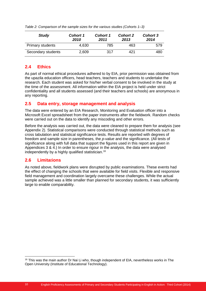| <b>Study</b>            | <b>Cohort 1</b><br>2010 | <b>Cohort 1</b><br>2011 | <b>Cohort 2</b><br>2013 | <b>Cohort 3</b><br>2014 |
|-------------------------|-------------------------|-------------------------|-------------------------|-------------------------|
| <b>Primary students</b> | 4,630                   | 785                     | 463                     | 579                     |
| Secondary students      | 2,609                   | 317                     | 421                     | 480                     |

*Table 2: Comparison of the sample sizes for the various studies (Cohorts 1–3)*

#### **2.4 Ethics**

As part of normal ethical procedures adhered to by EIA, prior permission was obtained from the upazila education officers, head teachers, teachers and students to undertake the research. Each student was asked for his/her verbal consent to be involved in the study at the time of the assessment. All information within the EIA project is held under strict confidentiality and all students assessed (and their teachers and schools) are anonymous in any reporting.

## **2.5 Data entry, storage management and analysis**

The data were entered by an EIA Research, Monitoring and Evaluation officer into a Microsoft Excel spreadsheet from the paper instruments after the fieldwork. Random checks were carried out on the data to identify any miscoding and other errors.

Before the analysis was carried out, the data were cleaned to prepare them for analysis (see Appendix 2). Statistical comparisons were conducted through statistical methods such as cross tabulation and statistical significance tests. Results are reported with degrees of freedom and sample size in parentheses, the *p-value* and the significance. (All tests of significance along with full data that support the figures used in this report are given in Appendices 3 & 4.) In order to ensure rigour in the analysis, the data were analysed independently by a highly qualified statistician.<sup>[16](#page-11-0)</sup>

## **2.6 Limita**t**ions**

As noted above, fieldwork plans were disrupted by public examinations. These events had the effect of changing the schools that were available for field visits. Flexible and responsive field management and coordination largely overcame these challenges. While the actual sample achieved was a little smaller than planned for secondary students, it was sufficiently large to enable comparability.

<span id="page-11-0"></span><sup>&</sup>lt;sup>16</sup> This was the main author Dr Nai Li who, though independent of EIA, nevertheless works in The Open University (Institute of Educational Technology).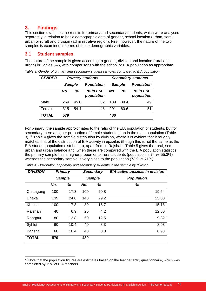## **3. Findings**

This section examines the results for primary and secondary students, which were analysed separately in relation to basic demographic data of gender, school location (urban, semiurban or rural) and division (administrative region). First, however, the nature of the two samples is examined in terms of these demographic variables.

#### **3.1 Student samples**

The nature of the sample is given according to gender, division and location (rural and urban) in Tables 3–5, with comparisons with the school or EIA population as appropriate.

| <b>GENDER</b> | <b>Primary students</b> |      |                        |     |               | <b>Secondary students</b> |
|---------------|-------------------------|------|------------------------|-----|---------------|---------------------------|
|               | <b>Sample</b>           |      | <b>Population</b>      |     | <b>Sample</b> | <b>Population</b>         |
|               | No.                     | ℅    | % in EIA<br>population | No. | %             | % in EIA<br>population    |
| Male          | 264                     | 45.6 | 52                     | 189 | 39.4          | 49                        |
| Female        | 315                     | 54.4 | 48                     | 291 | 60.6          | 51                        |
| <b>TOTAL</b>  | 579                     |      |                        | 480 |               |                           |

*Table 3: Gender of primary and secondary student samples compared to EIA population*

For primary, the sample approximates to the ratio of the EIA population of students, but for secondary there a higher proportion of female students than in the main population (Table 3).[17](#page-12-0) Table 4 gives the sample distribution by division, where it is evident that it roughly matches that of the distribution of EIA activity in upazilas (though this is not the same as the EIA student population distribution), apart from in Rajshahi. Table 5 gives the rural, semiurban and urban balance and, when these are compared with the EIA population statistics, the primary sample has a higher proportion of rural students (population is 74 *vs* 55.3%) whereas the secondary sample is very close to the population (73.9 *vs* 71%).

| <b>DIVISION</b> |     | <b>Primary</b>                 | <b>Secondary</b> |      | EIA-active upazilas in division |
|-----------------|-----|--------------------------------|------------------|------|---------------------------------|
|                 |     | <b>Sample</b><br><b>Sample</b> |                  |      | <b>Population</b>               |
|                 | No. | %                              | No.              | %    | %                               |
| Chittagong      | 100 | 17.3                           | 100              | 20.8 | 19.64                           |
| <b>Dhaka</b>    | 139 | 24.0                           | 140              | 29.2 | 25.00                           |
| Khulna          | 100 | 17.3                           | 80               | 16.7 | 15.18                           |
| Rajshahi        | 40  | 6.9                            | 20               | 4.2  | 12.50                           |
| Rangpur         | 80  | 13.8                           | 60               | 12.5 | 9.82                            |
| Syhlet          | 60  | 10.4                           | 40               | 8.3  | 8.93                            |
| <b>Barishal</b> | 60  | 10.4                           | 40               | 8.3  | 8.93                            |
| <b>TOTAL</b>    | 579 |                                | 480              |      |                                 |

*Table 4: Distribution of primary and secondary students in the sample by division*

<span id="page-12-0"></span><sup>&</sup>lt;sup>17</sup> Note that the population figures are estimates based on the teacher entry questionnaire, which was completed by 79% of EIA teachers.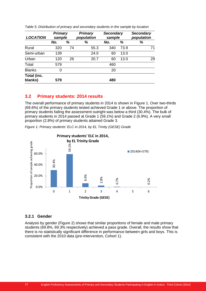| <b>LOCATION</b>        | <b>Primary</b><br>sample |    | <b>Primary</b><br>population | <b>Secondary</b><br>sample |      | <b>Secondary</b><br>population |  |
|------------------------|--------------------------|----|------------------------------|----------------------------|------|--------------------------------|--|
|                        | No.                      | %  | %                            | No.                        | %    | %                              |  |
| Rural                  | 320                      | 74 | 55.3                         | 340                        | 73.9 | 71                             |  |
| Semi-urban             | 139                      |    | 24.0                         | 60                         | 13.0 |                                |  |
| Urban                  | 120                      | 26 | 20.7                         | 60                         | 13.0 | 29                             |  |
| Total                  | 579                      |    |                              | 460                        |      |                                |  |
| <b>Blanks</b>          | 0                        |    |                              | 20                         |      |                                |  |
| Total (inc.<br>blanks) | 579                      |    |                              | 480                        |      |                                |  |

*Table 5: Distribution of primary and secondary students in the sample by location*

#### **3.2 Primary students: 2014 results**

The overall performance of primary students in 2014 is shown in Figure 1. Over two-thirds (69.6%) of the primary students tested achieved Grade 1 or above. The proportion of primary students failing the assessment outright was below a third (30.4%). The bulk of primary students in 2014 passed at Grade 1 (59.1%) and Grade 2 (6.9%). A very small proportion (2.8%) of primary students attained Grade 3.

*Figure 1: Primary students' ELC in 2014, by EL Trinity (GESE) Grade* 



#### **3.2.1 Gender**

Analysis by gender (Figure 2) shows that similar proportions of female and male primary students (69.8%, 69.3% respectively) achieved a pass grade. Overall, the results show that there is no statistically significant difference in performance between girls and boys. This is consistent with the 2010 data (pre-intervention, Cohort 1).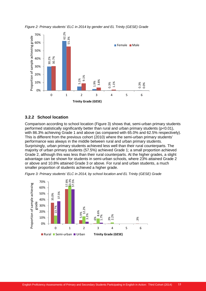



#### **3.2.2 School location**

Comparison according to school location (Figure 3) shows that, semi-urban primary students performed statistically significantly better than rural and urban primary students (p<0.01), with 86.3% achieving Grade 1 and above (as compared with 65.0% and 62.5% respectively). This is different from the previous cohort (2010) where the semi-urban primary students' performance was always in the middle between rural and urban primary students. Surprisingly, urban primary students achieved less well than their rural counterparts. The majority of urban primary students (57.5%) achieved Grade 1; a small proportion achieved Grade 2, although this was less than their rural counterparts. At the higher grades, a slight advantage can be shown for students in semi-urban schools, where 23% attained Grade 2 or above and 10.8% attained Grade 3 or above. For rural and urban students, a much smaller proportion of students achieved a higher grade.

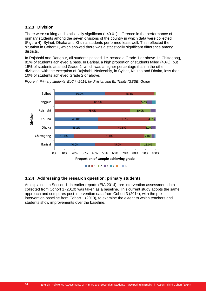#### **3.2.3 Division**

There were striking and statistically significant (p<0.01) difference in the performance of primary students among the seven divisions of the country in which data were collected (Figure 4). Sylhet, Dhaka and Khulna students performed least well. This reflected the situation in Cohort 1, which showed there was a statistically significant difference among districts.

In Rajshahi and Rangpur, all students passed, i.e. scored a Grade 1 or above. In Chittagong, 81% of students achieved a pass. In Barisal, a high proportion of students failed (40%), but 15% of students attained Grade 2, which was a higher percentage than in the other divisions, with the exception of Rajshahi. Noticeably, in Sylhet, Khulna and Dhaka, less than 10% of students achieved Grade 2 or above.



*Figure 4: Primary students' ELC in 2014, by division and EL Trinity (GESE) Grade* 

#### **3.2.4 Addressing the research question: primary students**

As explained in Section 1, in earlier reports (EIA 2014), pre-intervention assessment data collected from Cohort 1 (2010) was taken as a baseline. This current study adopts the same approach and compares post-intervention data from Cohort 3 (2014), with the preintervention baseline from Cohort 1 (2010), to examine the extent to which teachers and students show improvements over the baseline.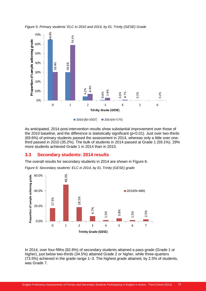



As anticipated, 2014 post-intervention results show substantial improvement over those of the 2010 baseline, and the difference is statistically significant (p<0.01). Just over two-thirds (69.6%) of primary students passed the assessment in 2014, whereas only a little over onethird passed in 2010 (35.2%). The bulk of students in 2014 passed at Grade 1 (59.1%). 29% more students achieved Grade 1 in 2014 than in 2010.

#### **3.3 Secondary students: 2014 results**

The overall results for secondary students in 2014 are shown in Figure 6. *Figure 6: Secondary students' ELC in 2014, by EL Trinity (GESE) grade* 



In 2014, over four-fifths (82.8%) of secondary students attained a pass grade (Grade 1 or higher), just below two-thirds (34.5%) attained Grade 2 or higher, while three-quarters (73.5%) achieved in the grade range 1–3. The highest grade attained, by 2.5% of students, was Grade 7.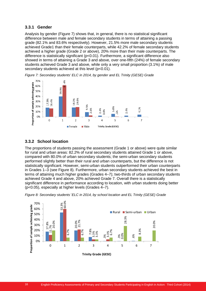#### **3.3.1 Gender**

Analysis by gender (Figure 7) shows that, in general, there is no statistical significant difference between male and female secondary students in terms of attaining a passing grade (82.1% and 83.6% respectively). However, 21.5% more male secondary students achieved Grade1 than their female counterparts, while 42.2% of female secondary students achieved a higher grade (Grade 2 or above), 20% more than their male counterparts. The difference is statistically significant (p<0.01). Furthermore, a significant difference also showed in terms of attaining a Grade 3 and above, over one-fifth (24%) of female secondary students achieved Grade 3 and above, while only a very small proportion (3.1%) of male secondary students achieved at this level (p<0.01).



*Figure 7: Secondary students' ELC in 2014, by gender and EL Trinity (GESE) Grade* 

#### **3.3.2 School location**

The proportions of students passing the assessment (Grade 1 or above) were quite similar for rural and urban areas: 82.2% of rural secondary students attained Grade 1 or above, compared with 80.0% of urban secondary students; the semi-urban secondary students performed slightly better than their rural and urban counterparts, but the difference is not statistically significant. However, semi-urban students outperformed their urban counterparts in Grades 1–3 (see Figure 8). Furthermore, urban secondary students achieved the best in terms of attaining much higher grades (Grades 4–7); two-thirds of urban secondary students achieved Grade 4 and above, 20% achieved Grade 7. Overall there is a statistically significant difference in performance according to location, with urban students doing better (p<0.05), especially at higher levels (Grades 4–7).



*Figure 8: Secondary students*' *ELC in 2014, by school location and EL Trinity (GESE) Grade*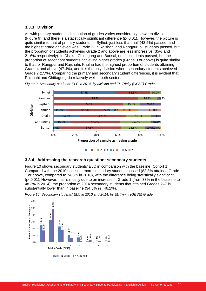#### **3.3.3 Division**

As with primary students, distribution of grades varies considerably between divisions (Figure 9), and there is a statistically significant difference (p<0.01). However, the picture is quite similar to that of primary students. In Sylhet, just less than half (43.5%) passed, and the highest grade achieved was Grade 2. In Rajshahi and Rangpur, all students passed, but the proportion of students achieving Grade 2 and above are less impressive (35% and 21.6% respectively). In Dhaka, Chittagong and Barisal, not all students passed, but the proportion of secondary students achieving higher grades (Grade 3 or above) is quite similar to that for Rangpur and Rajshahi. Khulna had the highest proportion of students attaining Grade 4 and above (47.4%), and it is the only division where secondary students achieved Grade 7 (15%). Comparing the primary and secondary student differences, it is evident that Rajshahi and Chittagong do relatively well in both sectors.



*Figure 9: Secondary students' ELC in 2014, by division and EL Trinity (GESE) Grade*

 $\blacksquare$ 0  $\blacksquare$ 1  $\blacksquare$ 2  $\blacksquare$ 3  $\blacksquare$ 4  $\blacksquare$ 5  $\blacksquare$ 6  $\blacksquare$ 7

#### **3.3.4 Addressing the research question: secondary students**

Figure 10 shows secondary students' ELC in comparison with the baseline (Cohort 1). Compared with the 2010 baseline, more secondary students passed (82.8% attained Grade 1 or above, compared to 74.5% in 2010), with the difference being statistically significant (p<0.01). However, this is mostly due to an increase in Grade 1 (from 33% in the baseline to 48.3% in 2014); the proportion of 2014 secondary students that attained Grades 2–7 is substantially lower than in baseline (34.5% *vs.* 46.2%).

*Figure 10: Secondary students' ELC in 2010 and 2014, by EL Trinity (GESE) Grade* 

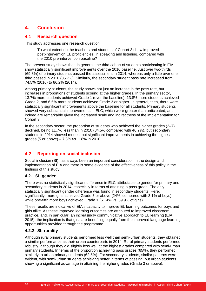## **4. Conclusion**

#### **4.1 Research question**

This study addresses one research question:

To what extent do the teachers and students of Cohort 3 show improved post-intervention EL proficiencies, in speaking and listening, compared with the 2010 pre-intervention baseline?

The present study shows that, in general, the third cohort of students participating in EIA show statistically significant improvements over the 2010 baseline. Just over two-thirds (69.8%) of primary students passed the assessment in 2014, whereas only a little over onethird passed in 2010 (35.7%). Similarly, the secondary student pass rate increased from 74.5% (2010) to 86.2% (2014).

Among primary students, the study shows not just an increase in the pass rate, but increases in proportions of students scoring at the higher grades. In the primary sector, 13.7% more students achieved Grade 1 (over the baseline), 13.8% more students achieved Grade 2, and 6.5% more students achieved Grade 3 or higher. In general, then, there were statistically significant improvements above the baseline for all students. Primary students showed very substantial improvements in ELC, which were greater than anticipated, and indeed are remarkable given the increased scale and indirectness of the implementation for Cohort 3.

In the secondary sector, the proportion of students who achieved the higher grades (2–7) declined, being 11.7% less than in 2010 (34.5% compared with 46.2%), but secondary students in 2014 showed modest but significant improvements in achieving the highest grades (5 or above) – 7.8% *vs.* 1.8% in 2010.

## **4.2 Reporting on social inclusion**

Social inclusion (SI) has always been an important consideration in the design and implementation of EIA and there is some evidence of the effectiveness of this policy in the findings of this study.

#### **4.2.1 SI: gender**

There was no statistically significant difference in ELC attributable to gender for primary and secondary students in 2014, especially in terms of attaining a pass grade. The only statistically significant gender difference was found in secondary students. Here, significantly, more girls achieved Grade 3 or above (24%, compared with 3.1% of boys), while one-fifth more boys achieved Grade 1 (61.4% *vs.* 39.9% of girls).

These results are indicative of EIA's capacity to improve EL learning outcomes for boys and girls alike. As these improved learning outcomes are attributed to improved classroom practice, and, in particular, an increasingly communicative approach to EL learning (EIA 2015), the implication is that girls are benefiting equally from the improved language learning opportunities provided through the programme.

#### **4.2.2 SI: rurality**

Although rural primary students performed less well than semi-urban students, they obtained a similar performance as their urban counterparts in 2014. Rural primary students performed robustly, although they did slightly less well at the highest grades compared with semi-urban primary students. In terms of the proportion achieving pass grades (65%), they performed similarly to urban primary students (62.5%). For secondary students, similar patterns were evident, with semi-urban students achieving better in terms of passing, but urban students showing a significant advantage in attaining the higher grades (Grade 3 or above).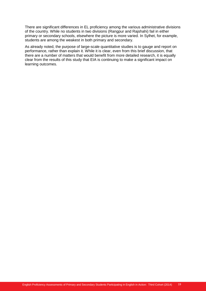There are significant differences in EL proficiency among the various administrative divisions of the country. While no students in two divisions (Rangpur and Rajshahi) fail in either primary or secondary schools, elsewhere the picture is more varied. In Sylhet, for example, students are among the weakest in both primary and secondary.

As already noted, the purpose of large-scale quantitative studies is to gauge and report on performance, rather than explain it. While it is clear, even from this brief discussion, that there are a number of matters that would benefit from more detailed research, it is equally clear from the results of this study that EIA is continuing to make a significant impact on learning outcomes.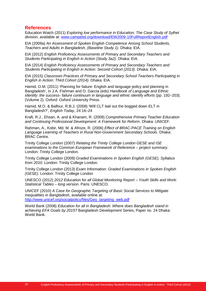#### **References**

Education Watch (2011) *Exploring low performance in Education: The Case Study of Sylhet division*, available at: [www.campebd.org/download/EW2009-10FullReportEnglish.pdf](http://www.campebd.org/download/EW2009-10FullReportEnglish.pdf)

EIA (2009a) *An Assessment of Spoken English Competence Among School Students, Teachers and Adults in Bangladesh, (Baseline Study 1).* Dhaka: EIA.

EIA (2012) *English Proficiency Assessments of Primary and Secondary Teachers and Students Participating in English in Action (Study 3a2).* Dhaka: EIA.

EIA (2014) *English Proficiency Assessments of Primary and Secondary Teachers and Students Participating in English in Action: Second Cohort (2013)*. Dhaka: EIA.

EIA (2015) *Classroom Practices of Primary and Secondary School Teachers Participating in English in Action: Third Cohort (2014).* Dhaka: EIA.

Hamid, O.M. (2011) 'Planning for failure: English and language policy and planning in Bangladesh', in J.A. Fishman and O. García (eds) *Handbook of Language and Ethnic Identify: the success- failure continuum in language and ethnic identify efforts* (pp. 192–203). (Volume 2). Oxford: Oxford University Press.

Hamid, M.O. & Balfour, R.B.J. (2008) 'Will CLT bail out the bogged down ELT in Bangladesh?', *English Today*, 24:16–24

Kraft, R.J., Ehsan, A. and & Khanam, R. (2009) *Comprehensive Primary Teacher Education and Continuing Professional Development: A Framework for Reform*. Dhaka: UNICEF.

Rahman, A., Kobir, Md. M. & Afroze, R. (2006) *Effect of BRAC-PACE Training on English Language Learning of Teachers in Rural Non-Government Secondary Schools*. Dhaka: BRAC Centre.

Trinity College London (2007) *Relating the Trinity College London GESE and ISE examinations to the Common European Framework of Reference – project summary*. London: Trinity College London.

Trinity College London (2009) *Graded Examinations in Spoken English (GESE). Syllabus from 2010*. London: Trinity College London.

Trinity College London (2013) *Exam Information: Graded Examinations in Spoken English (GESE).* London: Trinity College London

UNESCO (2012) *2012 Education for all Global Monitoring Report – Youth Skills and Work: Statistical Tables – long version*. Paris: UNESCO.

UNICEF (2010) *A Case for Geographic Targeting of Basic Social Services to Mitigate Inequalities in Bangladesh*, available online at: [http://www.unicef.org/socialpolicy/files/Geo\\_targeting\\_web.pdf](http://www.unicef.org/socialpolicy/files/Geo_targeting_web.pdf)

World Bank (2008) *Education for all in Bangladesh: Where does Bangladesh stand in achieving EFA Goals by 2015?* Bangladesh Development Series, Paper no. 24 Dhaka: World Bank.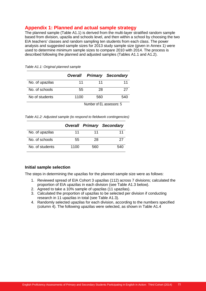## **Appendix 1: Planned and actual sample strategy**

The planned sample (Table A1.1) is derived from the multi-layer stratified random sample based from division, upazila and schools level, and then within a school by choosing the two EIA teachers' classes and random sampling ten students from each class. The power analysis and suggested sample sizes for 2013 study sample size (given in Annex 1) were used to determine minimum sample sizes to compare 2010 with 2014. The process is described following the planned and adjusted samples (Tables A1.1 and A1.2).

|                 |      |     | <b>Overall Primary Secondary</b> |
|-----------------|------|-----|----------------------------------|
| No. of upazilas | 11   | 11  | 11                               |
| No. of schools  | 55   | 28  | 27                               |
| No of students  | 1100 | 560 | 540                              |

*Table A1.1: Original planned sample* 

Number of EL assessors: 5

*Table A1.2: Adjusted sample (to respond to fieldwork contingencies)*

|                 |      |     | <b>Overall Primary Secondary</b> |
|-----------------|------|-----|----------------------------------|
| No. of upazilas | 11   | 11  | 11                               |
| No. of schools  | 55   | 28  | 27                               |
| No. of students | 1100 | 560 | 540                              |

#### **Initial sample selection**

The steps in determining the upazilas for the planned sample size were as follows:

- 1. Reviewed spread of EIA Cohort 3 upazilas (112) across 7 divisions; calculated the proportion of EIA upazilas in each division (see Table A1.3 below).
- 2. Agreed to take a 10% sample of upazilas (11 upazilas).
- 3. Calculated the proportion of upazilas to be selected per division if conducting research in 11 upazilas in total (see Table A1.3).
- 4. Randomly selected upazilas for each division, according to the numbers specified (column 4). The following upazilas were selected, as shown in Table A1.4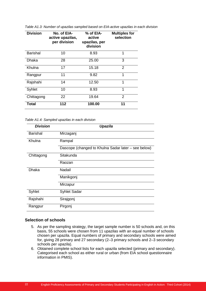| <b>Division</b> | No. of EIA-<br>active upazilas,<br>per division | % of EIA-<br>active<br>upazilas, per<br>division | <b>Multiples for</b><br>selection |
|-----------------|-------------------------------------------------|--------------------------------------------------|-----------------------------------|
| <b>Barishal</b> | 10                                              | 8.93                                             | 1                                 |
| Dhaka           | 28                                              | 25.00                                            | 3                                 |
| Khulna          | 17                                              | 15.18                                            | 2                                 |
| Rangpur         | 11                                              | 9.82                                             | 1                                 |
| Rajshahi        | 14                                              | 12.50                                            | 1                                 |
| Syhlet          | 10                                              | 8.93                                             | 1                                 |
| Chittagong      | 22                                              | 19.64                                            | 2                                 |
| <b>Total</b>    | 112                                             | 100.00                                           | 11                                |

*Table A1.3: Number of upazilas sampled based on EIA-active upazilas in each division*

*Table A1.4: Sampled upazilas in each division*

| <b>Division</b> | Upazila                                             |
|-----------------|-----------------------------------------------------|
| <b>Barishal</b> | Mirzaganj                                           |
| Khulna          | Rampal                                              |
|                 | Dascope (changed to Khulna Sadar later - see below) |
| Chittagong      | Sitakunda                                           |
|                 | Raozan                                              |
| <b>Dhaka</b>    | Nadail                                              |
|                 | Manikgonj                                           |
|                 | Mirzapur                                            |
| Syhlet          | <b>Syhlet Sadar</b>                                 |
| Rajshahi        | Sirajgonj                                           |
| Rangpur         | Pirgonj                                             |

#### **Selection of schools**

- 5. As per the sampling strategy, the target sample number is 50 schools and, on this basis, 55 schools were chosen from 11 upazilas with an equal number of schools chosen per upazila. Equal numbers of primary and secondary schools were aimed for, giving 28 primary and 27 secondary (2–3 primary schools and 2–3 secondary schools per upazila).
- 6. Obtained complete school lists for each upazila selected (primary and secondary). Categorised each school as either rural or urban (from EIA school questionnaire information in PMIS).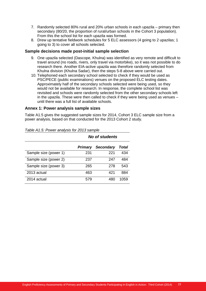- 7. Randomly selected 80% rural and 20% urban schools in each upazila primary then secondary (80/20, the proportion of rural/urban schools in the Cohort 3 population). From this the school list for each upazila was formed.
- 8. Drew up tentative fieldwork schedules for 5 ELC assessors (4 going to 2 upazilas; 1 going to 3) to cover all schools selected.

#### **Sample decisions made post-initial sample selection**

- 9. One upazila selected (Dascope, Khulna) was identified as very remote and difficult to travel around (no roads, rivers, only travel via motorbike), so it was not possible to do research there. Another EIA-active upazila was therefore randomly selected from Khulna division (Khulna Sadar), then the steps 5-8 above were carried out.
- 10. Telephoned each secondary school selected to check if they would be used as PSC/PECE (public examinations) venues on the proposed ELC testing dates. Approximately half of the secondary schools selected were being used, so they would not be available for research. In response, the complete school list was revisited and schools were randomly selected from the other secondary schools left in the upazila. These were then called to check if they were being used as venues – until there was a full list of available schools.

#### **Annex 1: Power analysis sample sizes**

Table A1.5 gives the suggested sample sizes for 2014, Cohort 3 ELC sample size from a power analysis, based on that conducted for the 2013 Cohort 2 study.

|                       | <b>No of students</b> |                  |       |  |  |
|-----------------------|-----------------------|------------------|-------|--|--|
|                       | <b>Primary</b>        | <b>Secondary</b> | Total |  |  |
| Sample size (power 1) | 231                   | 221              | 434   |  |  |
| Sample size (power 2) | 237                   | 247              | 484   |  |  |
| Sample size (power 3) | 265                   | 278              | 543   |  |  |
| 2013 actual           | 463                   | 421              | 884   |  |  |
| 2014 actual           | 579                   | 480              | 1059  |  |  |

*Table A1.5: Power analysis for 2013 sample*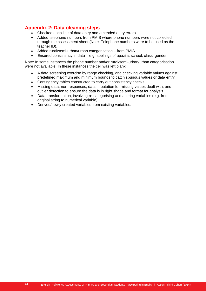## **Appendix 2: Data-cleaning steps**

- Checked each line of data entry and amended entry errors.
- Added telephone numbers from PMIS where phone numbers were not collected through the assessment sheet (Note: Telephone numbers were to be used as the teacher ID).
- Added rural/semi-urban/urban categorisation from PMIS.
- Ensured consistency in data e.g. spellings of upazila, school, class, gender.

Note: In some instances the phone number and/or rural/semi-urban/urban categorisation were not available. In these instances the cell was left blank.

- A data screening exercise by range checking, and checking variable values against predefined maximum and minimum bounds to catch spurious values or data entry;
- Contingency tables constructed to carry out consistency checks.
- Missing data, non-responses, data imputation for missing values dealt with, and outlier detection to ensure the data is in right shape and format for analysis.
- Data transformation, involving re-categorising and altering variables (e.g. from original string to numerical variable).
- Derived/newly created variables from existing variables.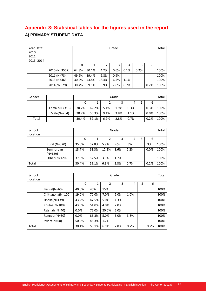## **Appendix 3: Statistical tables for the figures used in the report A) PRIMARY STUDENT DATA**

| Year Data:<br>2010,<br>2011,<br>2013, 2014 |               |       |       |       | Grade |      |      |      | Total |
|--------------------------------------------|---------------|-------|-------|-------|-------|------|------|------|-------|
|                                            |               | 0     | 1     | 2     | 3     | 4    | 5    | 6    |       |
|                                            | 2010 (N=3507) | 64.8% | 30.1% | 4.2%  | 0.6%  | 0.1% | 0.2% |      | 100%  |
|                                            | 2011 (N=784)  | 49.9% | 39.4% | 9.8%  | 0.9%  |      |      |      | 100%  |
|                                            | 2013 (N=463)  | 30.2% | 43.8% | 18.4% | 6.5%  | 1.1% |      |      | 100%  |
|                                            | 2014(N=579)   | 30.4% | 59.1% | 6.9%  | 2.8%  | 0.7% |      | 0.2% | 100%  |

| Gender |               |       | Grade  |      |      |      |  |      |      |  |
|--------|---------------|-------|--------|------|------|------|--|------|------|--|
|        |               |       | 6<br>4 |      |      |      |  |      |      |  |
|        | Female(N=315) | 30.2% | 62.2%  | 5.1% | 1.9% | 0.3% |  | 0.3% | 100% |  |
|        | $Male(N=264)$ | 30.7% | 55.3%  | 9.1% | 3.8% | 1.1% |  | 0.0% | 100% |  |
| Total  |               | 30.4% | 59.1%  | 6.9% | 2.8% | 0.7% |  | 0.2% | 100% |  |

| School<br>location |                         |       | Grade |       |      |      |   |      |      |  |
|--------------------|-------------------------|-------|-------|-------|------|------|---|------|------|--|
|                    |                         | 0     |       | 2     | 3    | 4    | 5 | 6    |      |  |
|                    | Rural (N=320)           | 35.0% | 57.8% | 5.9%  | .6%  | .3%  |   | .3%  | 100% |  |
|                    | Semi-urban<br>$(N=139)$ | 13.7% | 63.3% | 12.2% | 8.6% | 2.2% |   | 0.0% | 100% |  |
|                    | $Urban(N=120)$          | 37.5% | 57.5% | 3.3%  | 1.7% |      |   |      | 100% |  |
| Total              |                         | 30.4% | 59.1% | 6.9%  | 2.8% | 0.7% |   | 0.2% | 100% |  |

| School   |                   |       |       |       | Grade |      |   |      | Total |
|----------|-------------------|-------|-------|-------|-------|------|---|------|-------|
| location |                   |       |       |       |       |      |   |      |       |
|          |                   | 0     | 1     | 2     | 3     | 4    | 5 | 6    |       |
|          | Barisal(N=60)     | 40.0% | 45%   | 15%   |       |      |   |      | 100%  |
|          | Chittagong(N=100) | 19.0% | 70.0% | 7.0%  | 2.0%  | 1.0% |   |      | 100%  |
|          | $Dhaka(N=139)$    | 43.2% | 47.5% | 5.0%  | 4.3%  |      |   |      | 100%  |
|          | Khulna(N=100)     | 43.0% | 51.0% | 4.0%  | 2.0%  |      |   |      | 100%  |
|          | Rajshahi(N=40)    | 0.0%  | 75.0% | 20.0% | 5.0%  |      |   |      | 100%  |
|          | Rangpur(N=80)     | 0.0%  | 86.3% | 5.0%  | 5.0%  | 3.8% |   |      | 100%  |
|          | Sylhet(N=60)      | 50.0% | 48.3% | 1.7%  |       |      |   |      | 100%  |
| Total    |                   | 30.4% | 59.1% | 6.9%  | 2.8%  | 0.7% |   | 0.2% | 100%  |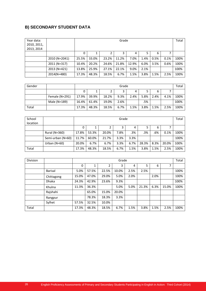## **B) SECONDARY STUDENT DATA**

| Year data:  |               |       |       |       | Grade |       |      |      |      | Total |
|-------------|---------------|-------|-------|-------|-------|-------|------|------|------|-------|
| 2010, 2011, |               |       |       |       |       |       |      |      |      |       |
| 2013, 2014  |               |       |       |       |       |       |      |      |      |       |
|             |               | 0     |       | 2     | 3     | 4     | 5    | 6    |      |       |
|             | 2010 (N=2041) | 25.5% | 33.0% | 23.2% | 11.2% | 7.0%  | 1.4% | 0.5% | 0.1% | 100%  |
|             | 2011 (N=317)  | 10.4% | 20.2% | 24.6% | 21.8% | 12.9% | 6.0% | 3.5% | 0.6% | 100%  |
|             | 2013 (N=421)  | 13.8% | 25.9% | 27.1% | 22.1% | 9.0%  | 2.1% |      |      | 100%  |
|             | 2014(N=480)   | 17.3% | 48.3% | 18.5% | 6.7%  | 1.5%  | 3.8% | 1.5% | 2.5% | 100%  |

| Gender |                  |       | Grade       |       |      |      |      |      |      |      |  |
|--------|------------------|-------|-------------|-------|------|------|------|------|------|------|--|
|        |                  |       | ₹<br>6<br>4 |       |      |      |      |      |      |      |  |
|        | Female $(N=291)$ | 17.9% | 39.9%       | 18.2% | 9.3% | 2.4% | 5.8% | 2.4% | 4.1% | 100% |  |
|        | Male (N=189)     | 16.4% | 61.4%       | 19.0% | 2.6% |      | .5%  |      |      | 100% |  |
| Total  |                  | 17.3% | 48.3%       | 18.5% | 6.7% | 1.5% | 3.8% | 1.5% | 2.5% | 100% |  |

| School<br>location |                   |       | Grade |       |      |      |       |      |       |      |
|--------------------|-------------------|-------|-------|-------|------|------|-------|------|-------|------|
|                    |                   | 0     |       |       | 3    | 4    |       | 6    |       |      |
|                    | Rural (N=360)     | 17.8% | 53.3% | 20.0% | 7.8% | .3%  | .3%   | .6%  | 0.1%  | 100% |
|                    | Semi-urban (N=60) | 11.7% | 60.0% | 21.7% | 3.3% | 3.3% |       |      |       | 100% |
|                    | Urban ( $N=60$ )  | 20.0% | 6.7%  | 6.7%  | 3.3% | 6.7% | 28.3% | 8.3% | 20.0% | 100% |
| Total              |                   | 17.3% | 48.3% | 18.5% | 6.7% | 1.5% | 3.8%  | 1.5% | 2.5%  | 100% |

| Division |                |       |       |       | Grade |      |       |      |       | Total |
|----------|----------------|-------|-------|-------|-------|------|-------|------|-------|-------|
|          |                | 0     | 1     | 2     | 3     | 4    | 5     | 6    | 7     |       |
|          | <b>Barisal</b> | 5.0%  | 57.5% | 22.5% | 10.0% | 2.5% | 2.5%  |      |       | 100%  |
|          | Chittagong     | 15.0% | 47.0% | 29.0% | 5.0%  | 2.0% |       | 2.0% |       | 100%  |
|          | <b>Dhaka</b>   | 24.3% | 42.9% | 23.6% | 9.3%  |      |       |      |       | 100%  |
|          | Khulna         | 11.3% | 36.3% |       | 5.0%  | 5.0% | 21.3% | 6.3% | 15.0% | 100%  |
|          | Rajshahi       |       | 65.0% | 15.0% | 20.0% |      |       |      |       |       |
|          | Rangpur        |       | 78.3% | 18.3% | 3.3%  |      |       |      |       |       |
|          | Sylhet         | 57.5% | 32.5% | 10.0% |       |      |       |      |       |       |
| Total    |                | 17.3% | 48.3% | 18.5% | 6.7%  | 1.5% | 3.8%  | 1.5% | 2.5%  | 100%  |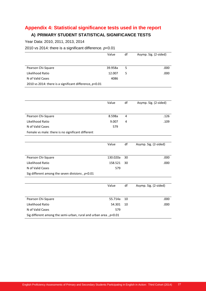# **Appendix 4: Statistical significance tests used in the report**

## **A) PRIMARY STUDENT STATISTICAL SIGNIFICANCE TESTS**

Year Data: 2010, 2011, 2013, 2014

#### 2010 vs 2014: there is a significant difference. *p*<0.01

|                                                                    | Value    | df | Asymp. Sig. (2-sided) |
|--------------------------------------------------------------------|----------|----|-----------------------|
|                                                                    |          |    |                       |
| Pearson Chi-Square                                                 | 39.958a  | 5  | .000                  |
| Likelihood Ratio                                                   | 12.007   | 5  | .000                  |
| N of Valid Cases                                                   | 4086     |    |                       |
| 2010 vs 2014: there is a significant difference, $p<0.01$          |          |    |                       |
|                                                                    |          |    |                       |
|                                                                    |          |    |                       |
|                                                                    | Value    | df | Asymp. Sig. (2-sided) |
|                                                                    |          |    |                       |
| Pearson Chi-Square                                                 | 8.598a   | 4  | .126                  |
| Likelihood Ratio                                                   | 9.007    | 4  | .109                  |
| N of Valid Cases                                                   | 579      |    |                       |
| Female vs male: there is no significant different                  |          |    |                       |
|                                                                    |          |    |                       |
|                                                                    | Value    | df | Asymp. Sig. (2-sided) |
|                                                                    |          |    |                       |
| Pearson Chi-Square                                                 | 130.020a | 30 | .000                  |
| Likelihood Ratio                                                   | 158.521  | 30 | .000                  |
| N of Valid Cases                                                   | 579      |    |                       |
| Sig different among the seven divisions, $p<0.01$                  |          |    |                       |
|                                                                    |          |    |                       |
|                                                                    | Value    | df | Asymp. Sig. (2-sided) |
|                                                                    |          |    |                       |
| Pearson Chi-Square                                                 | 55.714a  | 10 | .000                  |
| Likelihood Ratio                                                   | 54.301   | 10 | .000                  |
| N of Valid Cases                                                   | 579      |    |                       |
| Sig different among the semi-urban, rural and urban area, $p<0.01$ |          |    |                       |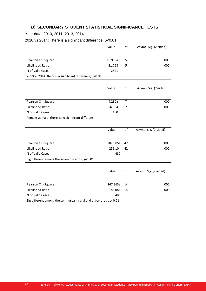## **B) SECONDARY STUDENT STATISTICAL SIGNIFICANCE TESTS**

Year data: 2010, 2011, 2013, 2014

2010 vs 2014: There is a significant difference; *p*<0.01

|                                                                    | Value    | df             | Asymp. Sig. (2-sided) |
|--------------------------------------------------------------------|----------|----------------|-----------------------|
|                                                                    |          |                |                       |
| Pearson Chi-Square                                                 | 19.958a  | 5              | .000                  |
| Likelihood Ratio                                                   | 21.768   | 5              | .000                  |
| N of Valid Cases                                                   | 2521     |                |                       |
| 2010 vs 2014: there is a significant difference, $p<0.01$          |          |                |                       |
|                                                                    |          |                |                       |
|                                                                    | Value    | df             | Asymp. Sig. (2-sided) |
|                                                                    |          |                |                       |
| Pearson Chi-Square                                                 | 44.230a  | $\overline{7}$ | .000                  |
| Likelihood Ratio                                                   | 56.694   | 7              | .000                  |
| N of Valid Cases                                                   | 480      |                |                       |
| Female vs male: there is no significant different                  |          |                |                       |
|                                                                    |          |                |                       |
|                                                                    | Value    | df             | Asymp. Sig. (2-sided) |
|                                                                    |          |                |                       |
| Pearson Chi-Square                                                 | 282.985a | 42             | .000                  |
| Likelihood Ratio                                                   | 259.104  | 42             | .000                  |
| N of Valid Cases                                                   | 480      |                |                       |
| Sig different among the seven divisions, $p<0.01$                  |          |                |                       |
|                                                                    |          |                |                       |
|                                                                    | Value    | df             | Asymp. Sig. (2-sided) |
|                                                                    |          |                |                       |
| Pearson Chi-Square                                                 | 267.363a | 14             | .000                  |
| Likelihood Ratio                                                   | 188.086  | 14             | .000                  |
| N of Valid Cases                                                   | 480      |                |                       |
| Sig different among the semi-urban, rural and urban area, $p<0.01$ |          |                |                       |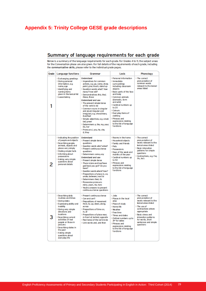## **Appendix 5: Trinity College GESE grade descriptions**

## Summary of language requirements for each grade

Below is a summary of the language requirements for each grade. For Grades 4 to 11, the subject areas for the Conversation phase are also given. For full details of the requirements of each grade, including the communicative skills, please refer to the individual grade pages.

| Grade | Language functions                                                                                                                                                                                                                                                                                                                     | Grammar                                                                                                                                                                                                                                                                                                                                                                                                                                                                                                                | Lexis                                                                                                                                                                                                                                                                                                                                                    | <b>Phonology</b>                                                                                                                                                                                                                                    |
|-------|----------------------------------------------------------------------------------------------------------------------------------------------------------------------------------------------------------------------------------------------------------------------------------------------------------------------------------------|------------------------------------------------------------------------------------------------------------------------------------------------------------------------------------------------------------------------------------------------------------------------------------------------------------------------------------------------------------------------------------------------------------------------------------------------------------------------------------------------------------------------|----------------------------------------------------------------------------------------------------------------------------------------------------------------------------------------------------------------------------------------------------------------------------------------------------------------------------------------------------------|-----------------------------------------------------------------------------------------------------------------------------------------------------------------------------------------------------------------------------------------------------|
|       | Exchanging greetings<br>I Giving personal<br>information, e.g.<br>name, age<br>I Identifying and<br>naming items<br>given in the lexical list<br>Leave-taking                                                                                                                                                                          | Understand<br>I Imperatives for common<br>actions, e.g. go, come, show,<br>point, give touch, stand up<br>Cuestion words what? how<br>many? how old?<br>Demonstratives this, that<br>these, those<br><b>Understand and use</b><br>The present simple tense<br>of the verb to be<br>Common nouns in singular<br>and plural (regular and<br>irregular), e.g. shoe/shoes,<br>foot/feet<br>Simple adjectives, e.g. small<br>tall green<br>Determiners a, the, my, your,<br>his, her<br>Pronounsi, you, he, she,<br>it they | Personal information<br>I Immediate<br>surroundings<br>including classroom<br>objects<br><b>Basic parts of the face</b><br>and body<br>Common animals<br>(domestic, farm<br>and wild)<br>Cardinal numbers up<br>to 20<br><b>Colours</b><br>I Everyday items of<br>clothing<br>Phrases and<br>expressions relating<br>to the list of language<br>fundions | I The correct<br>pronunciation of<br>common words<br>relevant to the lexical<br>areas listed                                                                                                                                                        |
|       | Indicating the position<br>of people and objects<br>Describing people,<br>animals, objects and<br>places very simply<br>Stating simple facts<br>l Informing about<br>possessions<br>Asking very simple<br>questions about<br>personal details                                                                                          | Understand<br>Present simple tense<br>questions<br>Question words who? when?<br>Present continuous tense<br>auestions<br>Determiners some, any<br><b>Understand and use</b><br>Present simple tense<br>There is/are and has/have<br>got/have you got? Do you<br>have?<br>Cuestion words where? how?<br>Prepositions of place in, on,<br>under, between, next to<br>Determiners their, its<br><b>Possessive pronouns</b><br>mine, yours, his, hers<br>Yes/ho answers to present<br>continuous tense questions           | Rooms in the home<br>Household objects<br>Family and friends<br><b>Pets</b><br><b>Possessions</b><br>Days of the week and<br>months of the year<br>Cardinal numbers up<br>to 50<br>Phrases and<br>expressions relating<br>to the list of language<br>fundions                                                                                            | I The correct<br>pronunciation of<br>words relevant to the<br><b>exical areas listed</b><br><b>Basic intonation</b><br>patterns for simple<br>questions<br>Contractions, e.g. I've,<br>I'm, he's                                                    |
|       | I Describing daily<br>routines and times<br>I Giving dates<br>Expressing ability and<br>in ability<br><b>Giving very simple</b><br>directions and<br>locations<br>Describing current<br>activities of real<br>people or those in<br>pictures<br>Describing states in<br>the past<br>Asking simple<br>questions about<br>ever yday life | Present continuous tense<br>Can and can't<br>Prepositions of movement<br>from, to, up, down, along,<br>across<br>Prepositions of time on.<br>in at<br>Prepositions of place near,<br>in front of, behind, opposite<br>Rast tense of the verb to be<br>Link words and, and then                                                                                                                                                                                                                                         | I Jobs<br>Places in the local<br>area<br>Place of study<br>I Home life<br>I Weather<br><b>I</b> Free time<br>If Times and dates<br>Ordinal numbers up to<br>31 <sup>e</sup> for dates<br>Phrases and<br>expressions relating<br>to the list of language<br>fundions                                                                                      | I The correct<br>pronunciation of<br>words relevant to the<br>lexical areas listed<br>If The use of<br>contractions where<br>appropriate<br><b>Basic stress and</b><br>intonation patterns<br>for words, short<br>sentences and simple<br>questions |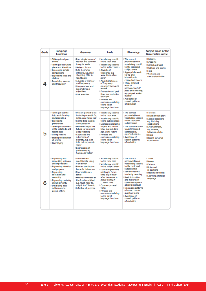| Grade | Language<br>functions                                                                                                                                                                                                                                               | Grammar                                                                                                                                                                                                                                                                                                                                               | Lexis                                                                                                                                                                                                                                                                                                                                                                       | Phonology                                                                                                                                                                                                                                                                                                                                     | Subject areas for the<br>Conversation phase                                                                                                                                                              |
|-------|---------------------------------------------------------------------------------------------------------------------------------------------------------------------------------------------------------------------------------------------------------------------|-------------------------------------------------------------------------------------------------------------------------------------------------------------------------------------------------------------------------------------------------------------------------------------------------------------------------------------------------------|-----------------------------------------------------------------------------------------------------------------------------------------------------------------------------------------------------------------------------------------------------------------------------------------------------------------------------------------------------------------------------|-----------------------------------------------------------------------------------------------------------------------------------------------------------------------------------------------------------------------------------------------------------------------------------------------------------------------------------------------|----------------------------------------------------------------------------------------------------------------------------------------------------------------------------------------------------------|
|       | <b>Talking about past</b><br>events<br>l Talking about future<br>plans and intentions<br><b>Expressing simple</b><br>comparisons<br>Expressing likes and<br>dislikes<br>Describing manner<br>and frequency                                                          | Past simple tense of<br>regular and common<br>irregular verbs<br>Going to future<br>Like + gerund/<br>infinitive, e.g. I like<br>shopping, I like to<br>read books<br>Adverbs of manner<br>and frequency<br>Comparatives and<br>superlatives of<br>adjectives<br>I Link word but                                                                      | Vocabulary specific<br>to the topic area<br>Vocabulary specific<br>to the subject areas<br>Adverbs of<br>frequency, e.g.<br>sometimes, often,<br>never<br>Adverbial phrases<br>of frequency,<br>e.g. every day, once<br>a week<br>Expressions of past<br>time, e.g. yesterday,<br>last night<br>Phrases and<br>expressions relating<br>to the list of<br>language functions | I The correct<br>pronunciation of<br>vocabulary specific<br>to the topic and<br>subject areas<br>Appropriate weak<br>forms and<br>intonation in<br>connected speech<br>I Three different<br>ways of<br>pronouncing 'ed'<br>past tense endings,<br>e.g. played, walked,<br>wanted<br>Avoidance of<br>speech patterns<br>of redtation           | <b>Holidays</b><br>Shopping<br>School and work<br>Hobbies and sports<br>Food<br>Weekend and<br>seasonal activities                                                                                       |
| 5     | I Talking about the<br>future - informing<br>and prediding<br><b>Expressing</b><br>preferences<br><b>Talking about events</b><br>in the indefinite and<br>recent past<br>I Giving reasons<br>Stating the duration<br>of events<br>I Quantifying                     | Present perfect tense<br>induding use with for,<br>since, ever, never, just<br>Connecting clauses<br>using because<br>Will referring to the<br>future for informing<br>and predicting<br>Adjectives and<br>adverbials of<br>quantity, e.g. a lot<br>(of), not very much,<br>many<br><b>Expressions of</b><br>preference, e.g.<br>I prefer, I'd rather | Vocabulary specific<br>to the topic area<br>Vocabulary specific<br>to the subject areas<br><b>Expressions relating</b><br>to past and future<br>time, e.g. two days<br>ago, in the future<br>Phrases and<br>expressions relating<br>to the list of<br>language fundions                                                                                                     | The correct<br>pronunciation of<br>vocabulary specific<br>to the topic and<br>subject areas<br>The combination of<br>weak forms and<br>contractions.<br>e.g./Ve been to<br>Avoidance of<br>speech patterns<br>of redtation                                                                                                                    | <b>I</b> Festivals<br>Means of transport<br>Special occasions.<br>e.a. birthdav<br>celebrations<br>Entertainment.<br>e.g. cinema.<br>television, clubs<br><b>Music</b><br>Recent personal<br>experiences |
| 6     | Expressing and<br>requesting opinions<br>and impressions<br><b>Expressing intention</b><br>and purpose<br><b>Expressing</b><br>obligation and<br>necessity<br><b>Expressing certainty</b><br>and uncertainty<br>Describing past<br>actions over a<br>period of time | 2ero and first<br>conditionals, using<br>if and when<br>Present continuous<br>tense for future use<br>Past continuous<br>tense<br>Modals connected to<br>the fundions listed.<br>e.g. must, need to,<br>might, don't have to<br>I Infinitive of purpose                                                                                               | Vocabulary specific<br>to the topic area<br>Vocabulary specific<br>to the subject areas<br><b>Further expressions</b><br>relating to future<br>time, e.g. the day<br>after tomorrow, in<br>a year's time, in<br>years' time<br>Common phrasal<br>verbs<br>Phrases and<br>expressions relating<br>to the list of<br>language fundions                                        | The correct<br>pronunciation of<br>vocabulary specific<br>to the topic and<br>subject areas<br>Sentence stress<br>to clarify meaning<br><b>Basic intonation</b><br>and features of<br>connected speech<br>at sentence level<br>Il ritonation patterns<br>of more complex<br>question forms<br>Avoidance of<br>speech patterns<br>of redtation | <b>Travel</b><br>I Money<br><b>Fashion</b><br>Rules and<br>regulations<br>Health and fitness<br>Learning a foreign<br>language                                                                           |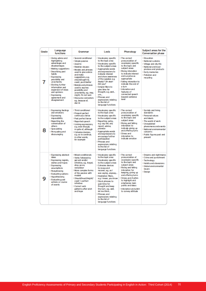| Grade | Language<br>functions                                                                                                                                                                                                                                                                                                    | Grammar                                                                                                                                                                                                                                                                                                                                                                     | Lexis                                                                                                                                                                                                                                                                                                                                                                                                         | Phonology                                                                                                                                                                                                                                                                                                               | Subject areas for the<br><b>Conversation phase</b>                                                                                                                                                                         |
|-------|--------------------------------------------------------------------------------------------------------------------------------------------------------------------------------------------------------------------------------------------------------------------------------------------------------------------------|-----------------------------------------------------------------------------------------------------------------------------------------------------------------------------------------------------------------------------------------------------------------------------------------------------------------------------------------------------------------------------|---------------------------------------------------------------------------------------------------------------------------------------------------------------------------------------------------------------------------------------------------------------------------------------------------------------------------------------------------------------------------------------------------------------|-------------------------------------------------------------------------------------------------------------------------------------------------------------------------------------------------------------------------------------------------------------------------------------------------------------------------|----------------------------------------------------------------------------------------------------------------------------------------------------------------------------------------------------------------------------|
|       | Giving advice and<br>highlighting<br>advantages and<br>disadvantages<br>Making suggestions<br>Describing past<br>habits<br><b>Expressing</b><br>possibility and<br>uncertainty<br><b>Diciting further</b><br>information and<br>expansion of ideas<br>and opinions<br><b>Expressing</b><br>agreement and<br>disagreement | ⊪Second conditional<br>I Simple passive<br>Used to<br><b>I Relative clauses</b><br>Modals and phrases<br>used to give advice<br>and make<br>suggestions, e.g.<br>should/ought to,<br>could, you'd better<br>Modals and phrases<br>used to express<br>possibility and<br>uncertainty, e.g. may,<br>might, I'm not sure<br>Discourse connectors<br>e.g. because of,<br>due to | Vocabulary specific<br>to the topic area<br>Vocabulary specific<br>to the subject areas<br>Appropriate words<br>and expressions to<br>indicate interest<br>and show awareness<br>of the speaker, e.g.<br>Really? Oh dear!<br>Did you?<br>Simple filers to<br>give time for<br>thought, e.g. we I<br>$um_{-}$<br>Phrases and<br>expressions relating<br>to the list of<br>language functions                   | The correct<br>pronunciation of<br>vocabulary specific<br>to the topic and<br>subject areas<br>Rising intonation<br>to indicate interest<br>and surprise as<br>appropriate<br>Falling intonation to<br>indicate the end of<br>a turn<br>I Infonation and<br>features of<br>connected speech<br>beyond sentence<br>level | <b>Education</b><br><b>National customs</b><br>Village and city life<br>I National and local<br>produce and products<br><b>Early memories</b><br>Pollution and<br>recycling                                                |
| я     | <b>Expressing feelings</b><br>and emotions<br><b>Expressing</b><br>impossibility<br>Reporting the<br>conversation of<br><b>others</b><br>I Speculating<br>Persuading and<br>discouraging                                                                                                                                 | <b>Third conditional</b><br>Present perfect<br>continuous tense<br>Past perfect tense<br>Reported speech<br><b>Linking expressions,</b><br>e.g. even though,<br>in spite of, although<br>Cohesive devices,<br>e.g. so to continue,<br>in other words.<br>for example                                                                                                        | Vocabulary specific<br>to the topic area<br>Vocabulary specific<br>to the subject areas<br>Reporting verbs.<br>e.g. say, tell, ask<br>report, advise.<br>promise<br>Appropriate words<br>and expressions to<br>encourage further<br>participation<br>Phrases and<br>expressions relating<br>to the list of<br>language functions                                                                              | The correct<br>pronunciation of<br>vocabulary specific<br>to the topic and<br>subject areas<br>Rising and falling<br>intonation to<br>indicate giving up<br>and offering turns<br>Stress and<br>intonation to<br>indicate emotion                                                                                       | Society and living<br>standards<br><b>Personal values</b><br>and ideals<br>I The world of work<br>I Unexplained<br>phenomena and events<br><b>National environmental</b><br>concerns<br>Public figures past and<br>present |
|       | Expressing abstract<br><b>ideas</b><br>Expressing regrets,<br>wishes and hopes<br><b>Expressing</b><br>assumptions<br><b>Paraphrasing</b><br>Evaluating options<br><b>Hypothesising</b><br>I Evaluating past<br>actions or course<br>of events                                                                           | Mixed conditionals<br>Verbs followed by<br>gerund and/or<br>infinitive, e.g. forget,<br>stop, go on,<br>remember<br>More complex forms<br>of the passive with<br>modals<br>Should/must/might/<br>could + perfect<br>infinitive<br>Correct verb<br>patterns after wish<br>and hope                                                                                           | Vocabulary specific<br>to the topic area<br>Vocabulary specific<br>to the subject areas<br>Cohesive devices<br>to recap and<br>recover, e.g. as I<br>was saying, anyway<br><b>Hesitation filers.</b><br>e.g. I mean, you know<br>Stock phrases to<br>gain time for<br>thought and keep<br>the turn, e.g. well,<br>let me think<br>Phrases and<br>expressions relating<br>to the list of<br>language functions | The correct<br>pronunciation of<br>vocabulary specific<br>to the topic and<br>subject areas<br>Rising and falling<br>intonation for<br>keeping, giving up<br>and offering turns<br>Stress and rhythm<br>to highlight and<br>emphasise main<br>points and ideas<br>Infonation and pitch<br>to convey attitude            | Dreams and nightmares<br>Crime and punishment<br><b>Technology</b><br>Habits and obsessions<br><b>Global environmental</b><br><b>issues</b><br>Design                                                                      |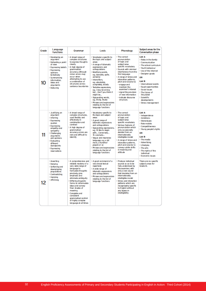| Grade | Language<br>functions                                                                                                                                                                                                                                         | Grammar                                                                                                                                                                                                                                                                                                                                                                | Lexis                                                                                                                                                                                                                                                                                                                                                                                                                                                                   | Phonology                                                                                                                                                                                                                                                                                                                                                                      | Subject areas for the<br><b>Conversation phase</b>                                                                                                                                                                                                                                                                                   |
|-------|---------------------------------------------------------------------------------------------------------------------------------------------------------------------------------------------------------------------------------------------------------------|------------------------------------------------------------------------------------------------------------------------------------------------------------------------------------------------------------------------------------------------------------------------------------------------------------------------------------------------------------------------|-------------------------------------------------------------------------------------------------------------------------------------------------------------------------------------------------------------------------------------------------------------------------------------------------------------------------------------------------------------------------------------------------------------------------------------------------------------------------|--------------------------------------------------------------------------------------------------------------------------------------------------------------------------------------------------------------------------------------------------------------------------------------------------------------------------------------------------------------------------------|--------------------------------------------------------------------------------------------------------------------------------------------------------------------------------------------------------------------------------------------------------------------------------------------------------------------------------------|
|       | Developing an<br>argument<br>Defending a point<br>of view<br><b>Expressing beliefs</b><br><b>Expressing</b><br>opinions<br>tentatively<br>Summarising<br>information.<br>ideas and<br>arguments<br>Deducing                                                   | A broad range of<br>complex structures<br>to express thoughts<br>clearly<br>A high degree of<br>grammatical<br>accuracy, although<br>minor errors may<br>occur when<br>attempting to use<br>a combination of<br>structures across<br>sentence boundaries                                                                                                               | Vocabulary specific to<br>the topic and subject<br>areas<br>A range of idiomatic<br>expressions and<br>colloquialisms<br>Modifying words,<br>e.g. basically, quite,<br>certainly<br>I Intensifiers.<br>e.g. absolutely.<br>completely, totally<br>Tentative expressions,<br>e.g. I may be wrong<br>but Don't you think it<br>might be<br>Signposting words,<br>e.g. firstly, finally<br><b>Phrases and expressions</b><br>relating to the list of<br>language functions | If The correct<br>pronunciation<br>of topic and<br>subject-area<br>specific vocabulary<br>Sounds with minimal<br>interference from the<br>first language<br>A range of stress and<br>intonation patterns.<br>pitch and volume to:<br>- engage and<br>maintain the<br>examiner's interest<br>- signal the provision<br>of new information<br>- indicate discourse<br>structure. | <b>List A</b><br>Roles in the family<br>Communication<br><b>The school curriculum</b><br>P Youth behaviour<br>I Use of the internet<br>Designer goods<br>ŌR<br>List B<br>International events<br>Equal opportunities<br>I Social issues<br>I The future of<br>the planet<br><b>■ Scientific</b><br>developments<br>Stress management |
| 11    | II Justifying an<br>argument<br>l Inferring<br><b>Expressing</b><br>caution<br><b>Expressing</b><br>empathy and<br>sympathy<br>Challenging<br>arouments<br>and opinions<br><b>Evaluating</b><br>different<br>standpoints<br><b>Expressing</b><br>reservations | A broad range of<br>complex structures,<br>used flexibly and<br>effectively in<br>combination and<br>contrast<br>A high degree of<br>grammatical<br>accuracy, errors are<br>rare and difficult to<br>identify                                                                                                                                                          | Vocabulary specific to<br>the topic and subject<br><b>ABURS</b><br>A good range of<br>idiomatic expressions<br>and colloquialisms<br>Signposting expressions.<br>e.g. I'd like to begin<br>with Conversely<br>To conclude<br>Vaque and imprecise<br>language, e.g. a bit<br>more, a hundred<br>people or so<br><b>Phrases and expressions</b><br>relating to the list of<br>language functions                                                                          | If The correct<br>pronunciation<br>of topic and<br>subject-area<br>specific vocabulary<br>I Various features of<br>pronunciation which<br>only occasionally<br>deviate from an<br>internationally<br>intelligible model<br>A range of stress and<br>intonation patterns.<br>pitch and volume to<br>convey subtle shifts<br>in meaning and<br>attitude                          | List A<br>I Independence<br>Ambitions<br>I Stereotypes<br>Role models<br>Competitive ness<br>Noung people's rights<br>ŌR<br>List <b>B</b><br>If The media<br>Advertising<br>II Lifestyles<br>Il The arts<br>If The rights of the<br>individual<br><b>Economic issues</b>                                                             |
| 12    | Asserting<br>Denying<br>Softening and<br>downplaying<br>propositions<br>Contradicting<br>l Implying<br>Affirming                                                                                                                                              | A comprehensive and<br>reliable mastery of a<br>very wide range of<br>language to<br>formulate thoughts<br>precisely, give<br>emphasis and<br>eliminate ambiguity<br>Differing linguistic<br>forms to reformulate<br>ideas and convey<br>finer shades of<br>meaning<br>Complete and<br>consistent<br>grammatical control<br>of highly complex<br>language at all fimes | A good command of a<br>very broad lexical<br>reper to ine<br>A wide range of<br>idiomatic expressions<br>and colloquialisms<br><b>Phrases and expressions</b><br>relating to the list of<br>language functions                                                                                                                                                                                                                                                          | Produce individual<br>sounds so as to be<br>fully understood by<br>the examiner, with<br>only a rare sound<br>that deviates from an<br>internationally<br>intelligible model<br>Stress and intonation<br>patterns which are<br>recognisably specific<br>to English without<br>any lapses in<br>intelligibility                                                                 | There are no specific<br>subject areas for<br>Grade 12.                                                                                                                                                                                                                                                                              |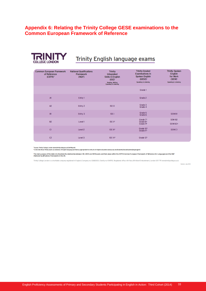## **Appendix 6: Relating the Trinity College GESE examinations to the Common European Framework of Reference**



# **Trinity English language exams**

| <b>Common European Framework</b><br>of Reference<br>$(CEFR)^1$ | <b>National Qualifications</b><br><b>Framework</b><br>(NQF) | <b>Trinity</b><br>Integrated<br><b>Skills in English</b><br>$($ ISE $)$ <sup>1</sup><br>Reading, Writing<br><b>Speaking &amp; Listening</b> | <b>Trinity Graded</b><br><b>Examinations in</b><br><b>Spoken English</b><br>(GESE) <sup>1</sup><br>Speaking & Listening | <b>Trinity Spoken</b><br><b>English</b><br>for Work<br>(SEW)<br>Speaking & Listening |
|----------------------------------------------------------------|-------------------------------------------------------------|---------------------------------------------------------------------------------------------------------------------------------------------|-------------------------------------------------------------------------------------------------------------------------|--------------------------------------------------------------------------------------|
|                                                                |                                                             |                                                                                                                                             | Grade 1                                                                                                                 |                                                                                      |
| A1                                                             | Entry 1                                                     |                                                                                                                                             | Grade 2                                                                                                                 |                                                                                      |
| A <sub>2</sub>                                                 | Entry 2                                                     | <b>ISEO</b>                                                                                                                                 | Grade 3<br>Grade 4                                                                                                      |                                                                                      |
| B1                                                             | Entry 3                                                     | <b>ISET</b>                                                                                                                                 | Grade 5<br>Grade 6                                                                                                      | SEW <sub>B1</sub>                                                                    |
| <b>B2</b>                                                      | Level 1                                                     | ISE II <sup>2</sup>                                                                                                                         | Grade 7 <sup>2</sup><br>Grade 8 <sup>2</sup><br>Grade 9 <sup>2</sup>                                                    | SEW B <sub>2</sub><br>SEW B <sub>2+</sub>                                            |
| C1                                                             | Level <sub>2</sub>                                          | <b>ISE III<sup>2</sup></b>                                                                                                                  | Grade 10 <sup>2</sup><br>Grade 11 <sup>2</sup>                                                                          | SEW <sub>C1</sub>                                                                    |
| C <sub>2</sub>                                                 | Level 3                                                     | ISE IV <sup>2</sup>                                                                                                                         | Grade 12 <sup>2</sup>                                                                                                   |                                                                                      |

' Source: Thilly College London (www.thilly.cdiege.co.uk/caffReport)<br>"UCAS lats these Thilly exams as evidence of English language proficiency appropriate for entry to UK higher education (www.ucas.com/students/englingport

The main purpose of the table is to illustrate the relationship between ISE, GESE and SEW exams and their place within the CEFR (Common European Framework of Reference for Languages) and the NQF<br>(National Qualifications Fr

Trinity College London is acharitable company registered in England.Company no: 02683033. Charity no: 1014792. Registered office: 4th floor, 89 A bert Embankment, London SEI 7TP. www.drinitycollege.co.uk

Sion: July 2013